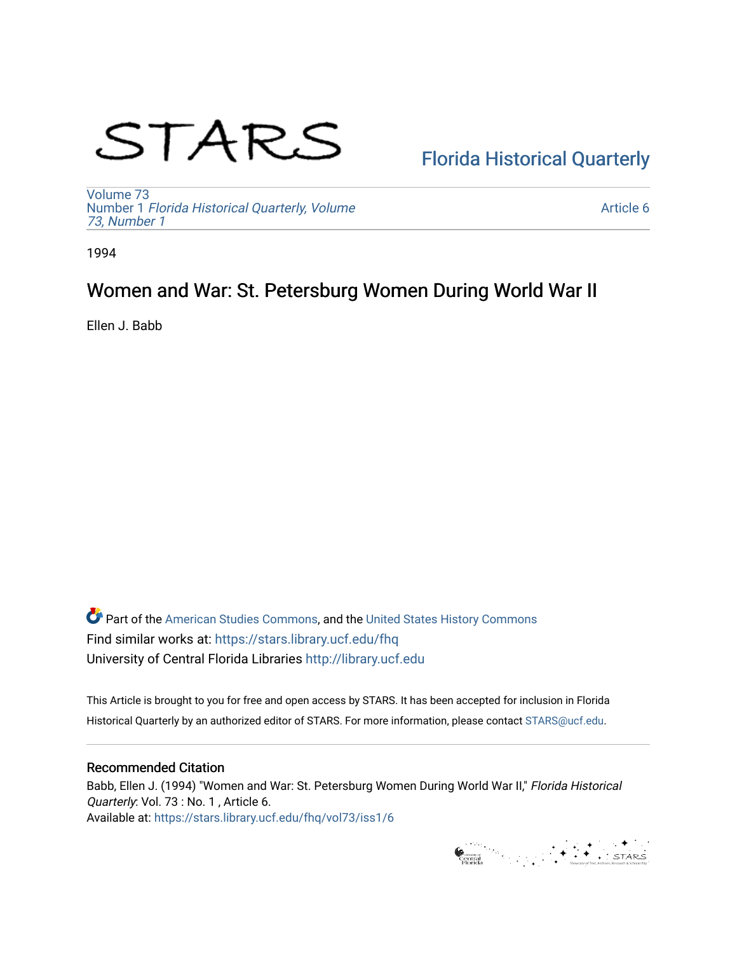# STARS

# [Florida Historical Quarterly](https://stars.library.ucf.edu/fhq)

[Volume 73](https://stars.library.ucf.edu/fhq/vol73) Number 1 [Florida Historical Quarterly, Volume](https://stars.library.ucf.edu/fhq/vol73/iss1)  [73, Number 1](https://stars.library.ucf.edu/fhq/vol73/iss1)

[Article 6](https://stars.library.ucf.edu/fhq/vol73/iss1/6) 

1994

# Women and War: St. Petersburg Women During World War II

Ellen J. Babb

**C** Part of the [American Studies Commons](http://network.bepress.com/hgg/discipline/439?utm_source=stars.library.ucf.edu%2Ffhq%2Fvol73%2Fiss1%2F6&utm_medium=PDF&utm_campaign=PDFCoverPages), and the United States History Commons Find similar works at: <https://stars.library.ucf.edu/fhq> University of Central Florida Libraries [http://library.ucf.edu](http://library.ucf.edu/) 

This Article is brought to you for free and open access by STARS. It has been accepted for inclusion in Florida Historical Quarterly by an authorized editor of STARS. For more information, please contact [STARS@ucf.edu.](mailto:STARS@ucf.edu)

## Recommended Citation

Babb, Ellen J. (1994) "Women and War: St. Petersburg Women During World War II," Florida Historical Quarterly: Vol. 73 : No. 1, Article 6. Available at: [https://stars.library.ucf.edu/fhq/vol73/iss1/6](https://stars.library.ucf.edu/fhq/vol73/iss1/6?utm_source=stars.library.ucf.edu%2Ffhq%2Fvol73%2Fiss1%2F6&utm_medium=PDF&utm_campaign=PDFCoverPages) 

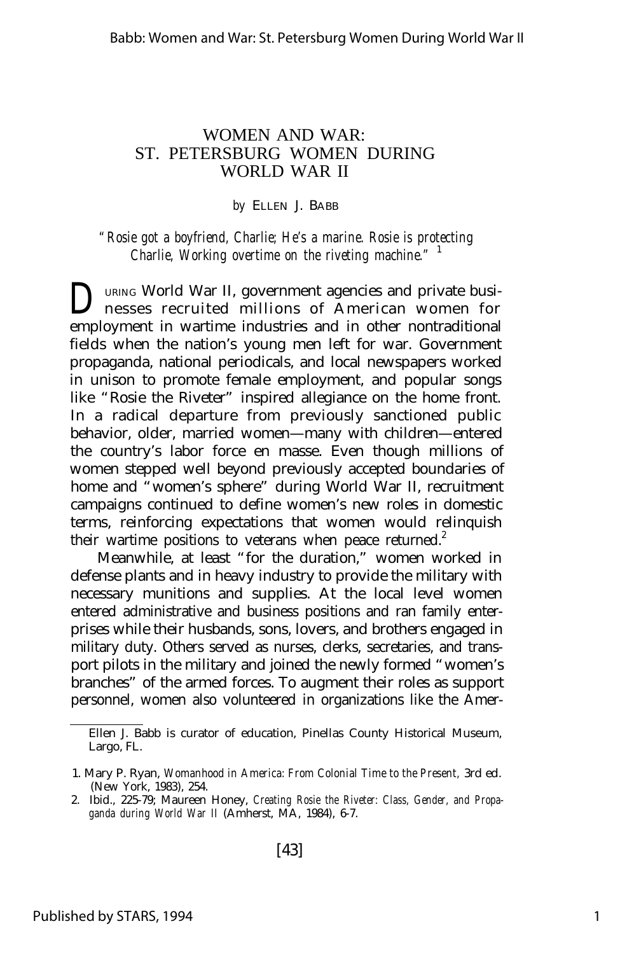## WOMEN AND WAR: ST. PETERSBURG WOMEN DURING WORLD WAR II

#### *by* ELLEN J. BABB

*"Rosie got a boyfriend, Charlie; He's a marine. Rosie is protecting Charlie, Working overtime on the riveting machine."* <sup>1</sup>

**D**URING World War II, government agencies and private businesses recruited millions of American women for nesses recruited millions of American women for employment in wartime industries and in other nontraditional fields when the nation's young men left for war. Government propaganda, national periodicals, and local newspapers worked in unison to promote female employment, and popular songs like "Rosie the Riveter" inspired allegiance on the home front. In a radical departure from previously sanctioned public behavior, older, married women— many with children— entered the country's labor force en masse. Even though millions of women stepped well beyond previously accepted boundaries of home and "women's sphere" during World War II, recruitment campaigns continued to define women's new roles in domestic terms, reinforcing expectations that women would relinquish their wartime positions to veterans when peace returned.<sup>2</sup>

Meanwhile, at least "for the duration," women worked in defense plants and in heavy industry to provide the military with necessary munitions and supplies. At the local level women entered administrative and business positions and ran family enterprises while their husbands, sons, lovers, and brothers engaged in military duty. Others served as nurses, clerks, secretaries, and transport pilots in the military and joined the newly formed "women's branches" of the armed forces. To augment their roles as support personnel, women also volunteered in organizations like the Amer-

Ellen J. Babb is curator of education, Pinellas County Historical Museum, Largo, FL.

<sup>1.</sup> Mary P. Ryan, *Womanhood in America: From Colonial Time to the Present,* 3rd ed. (New York, 1983), 254.

<sup>2.</sup> Ibid., 225-79; Maureen Honey, *Creating Rosie the Riveter: Class, Gender, and Propaganda during World War II* (Amherst, MA, 1984), 6-7.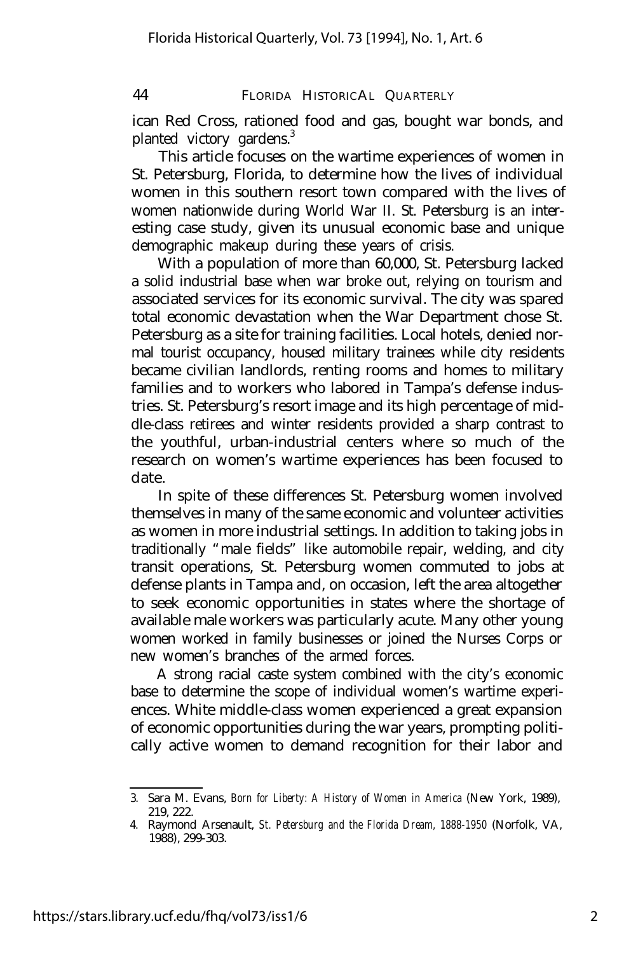ican Red Cross, rationed food and gas, bought war bonds, and planted victory gardens.<sup>3</sup>

This article focuses on the wartime experiences of women in St. Petersburg, Florida, to determine how the lives of individual women in this southern resort town compared with the lives of women nationwide during World War II. St. Petersburg is an interesting case study, given its unusual economic base and unique demographic makeup during these years of crisis.

With a population of more than 60,000, St. Petersburg lacked a solid industrial base when war broke out, relying on tourism and associated services for its economic survival. The city was spared total economic devastation when the War Department chose St. Petersburg as a site for training facilities. Local hotels, denied normal tourist occupancy, housed military trainees while city residents became civilian landlords, renting rooms and homes to military families and to workers who labored in Tampa's defense industries. St. Petersburg's resort image and its high percentage of middle-class retirees and winter residents provided a sharp contrast to the youthful, urban-industrial centers where so much of the research on women's wartime experiences has been focused to date.

In spite of these differences St. Petersburg women involved themselves in many of the same economic and volunteer activities as women in more industrial settings. In addition to taking jobs in traditionally "male fields" like automobile repair, welding, and city transit operations, St. Petersburg women commuted to jobs at defense plants in Tampa and, on occasion, left the area altogether to seek economic opportunities in states where the shortage of available male workers was particularly acute. Many other young women worked in family businesses or joined the Nurses Corps or new women's branches of the armed forces.

A strong racial caste system combined with the city's economic base to determine the scope of individual women's wartime experiences. White middle-class women experienced a great expansion of economic opportunities during the war years, prompting politically active women to demand recognition for their labor and

<sup>3.</sup> Sara M. Evans, *Born for Liberty: A History of Women in America* (New York, 1989), 219, 222.

<sup>4.</sup> Raymond Arsenault, *St. Petersburg and the Florida Dream, 1888-1950* (Norfolk, VA, 1988), 299-303.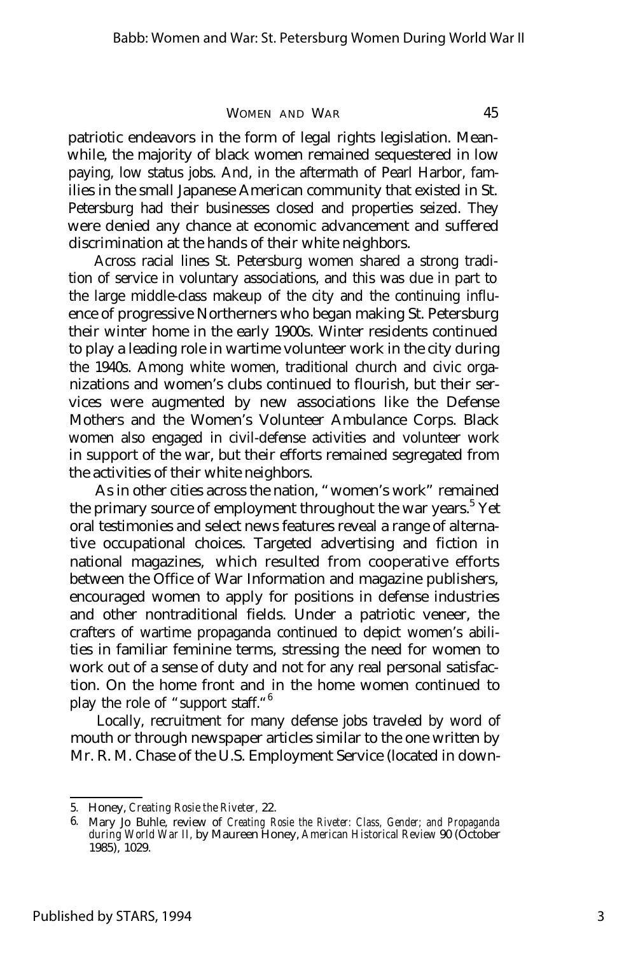patriotic endeavors in the form of legal rights legislation. Meanwhile, the majority of black women remained sequestered in low paying, low status jobs. And, in the aftermath of Pearl Harbor, families in the small Japanese American community that existed in St. Petersburg had their businesses closed and properties seized. They were denied any chance at economic advancement and suffered discrimination at the hands of their white neighbors.

Across racial lines St. Petersburg women shared a strong tradition of service in voluntary associations, and this was due in part to the large middle-class makeup of the city and the continuing influence of progressive Northerners who began making St. Petersburg their winter home in the early 1900s. Winter residents continued to play a leading role in wartime volunteer work in the city during the 1940s. Among white women, traditional church and civic organizations and women's clubs continued to flourish, but their services were augmented by new associations like the Defense Mothers and the Women's Volunteer Ambulance Corps. Black women also engaged in civil-defense activities and volunteer work in support of the war, but their efforts remained segregated from the activities of their white neighbors.

As in other cities across the nation, "women's work" remained the primary source of employment throughout the war years.<sup>5</sup> Yet oral testimonies and select news features reveal a range of alternative occupational choices. Targeted advertising and fiction in national magazines, which resulted from cooperative efforts between the Office of War Information and magazine publishers, encouraged women to apply for positions in defense industries and other nontraditional fields. Under a patriotic veneer, the crafters of wartime propaganda continued to depict women's abilities in familiar feminine terms, stressing the need for women to work out of a sense of duty and not for any real personal satisfaction. On the home front and in the home women continued to play the role of "support staff."<sup>6</sup>

Locally, recruitment for many defense jobs traveled by word of mouth or through newspaper articles similar to the one written by Mr. R. M. Chase of the U.S. Employment Service (located in down-

<sup>5.</sup> Honey, *Creating Rosie the Riveter,* 22.

<sup>6.</sup> Mary Jo Buhle, review of *Creating Rosie the Riveter: Class, Gender; and Propaganda during World War II,* by Maureen Honey, *American Historical Review* 90 (October 1985), 1029.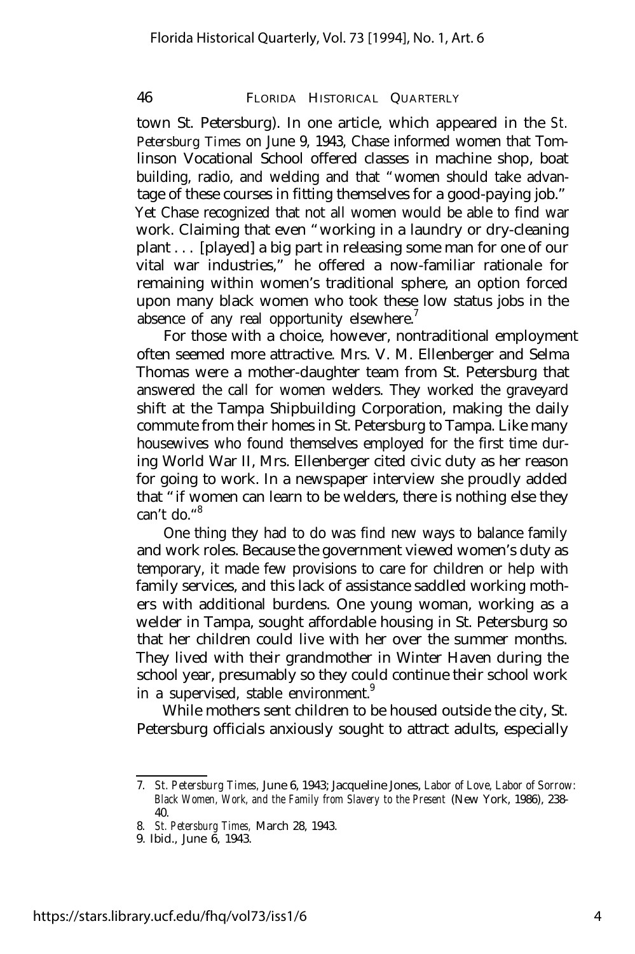town St. Petersburg). In one article, which appeared in the *St. Petersburg Times* on June 9, 1943, Chase informed women that Tomlinson Vocational School offered classes in machine shop, boat building, radio, and welding and that "women should take advantage of these courses in fitting themselves for a good-paying job." Yet Chase recognized that not all women would be able to find war work. Claiming that even "working in a laundry or dry-cleaning plant . . . [played] a big part in releasing some man for one of our vital war industries," he offered a now-familiar rationale for remaining within women's traditional sphere, an option forced upon many black women who took these low status jobs in the absence of any real opportunity elsewhere.<sup>7</sup>

For those with a choice, however, nontraditional employment often seemed more attractive. Mrs. V. M. Ellenberger and Selma Thomas were a mother-daughter team from St. Petersburg that answered the call for women welders. They worked the graveyard shift at the Tampa Shipbuilding Corporation, making the daily commute from their homes in St. Petersburg to Tampa. Like many housewives who found themselves employed for the first time during World War II, Mrs. Ellenberger cited civic duty as her reason for going to work. In a newspaper interview she proudly added that "if women can learn to be welders, there is nothing else they can't do." 8

One thing they had to do was find new ways to balance family and work roles. Because the government viewed women's duty as temporary, it made few provisions to care for children or help with family services, and this lack of assistance saddled working mothers with additional burdens. One young woman, working as a welder in Tampa, sought affordable housing in St. Petersburg so that her children could live with her over the summer months. They lived with their grandmother in Winter Haven during the school year, presumably so they could continue their school work in a supervised, stable environment.<sup>9</sup>

While mothers sent children to be housed outside the city, St. Petersburg officials anxiously sought to attract adults, especially

<sup>7.</sup> *St. Petersburg Times,* June 6, 1943; Jacqueline Jones, *Labor of Love, Labor of Sorrow: Black Women, Work, and the Family from Slavery to the Present* (New York, 1986), 238- 40.

<sup>8.</sup> *St. Petersburg Times,* March 28, 1943.

<sup>9.</sup> Ibid., June 6, 1943.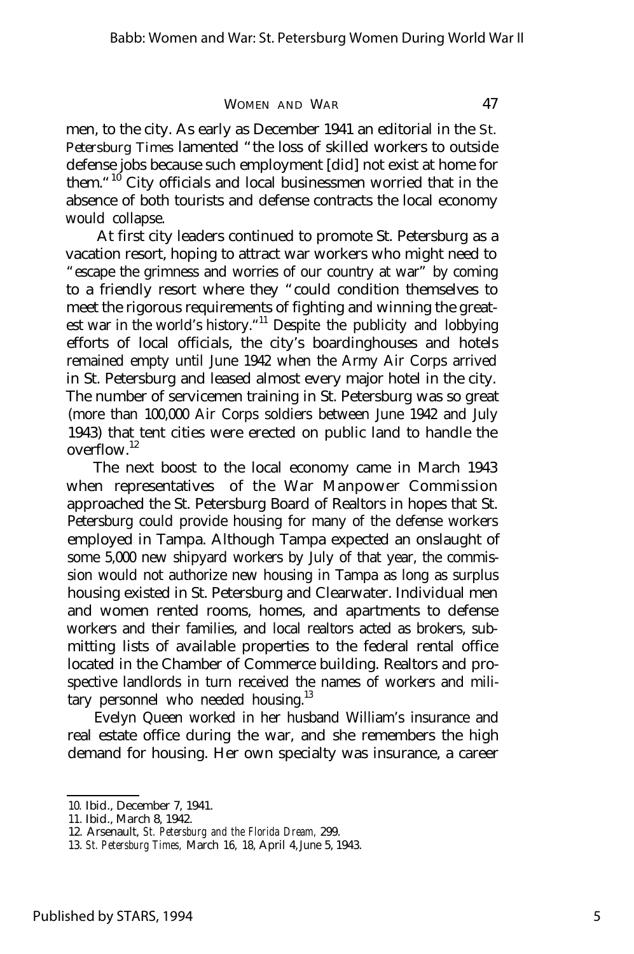men, to the city. As early as December 1941 an editorial in the *St. Petersburg Times* lamented "the loss of skilled workers to outside defense jobs because such employment [did] not exist at home for them.  $10^\circ$  City officials and local businessmen worried that in the absence of both tourists and defense contracts the local economy would collapse.

At first city leaders continued to promote St. Petersburg as a vacation resort, hoping to attract war workers who might need to "escape the grimness and worries of our country at war" by coming to a friendly resort where they "could condition themselves to meet the rigorous requirements of fighting and winning the greatest war in the world's history.<sup>"11</sup> Despite the publicity and lobbying efforts of local officials, the city's boardinghouses and hotels remained empty until June 1942 when the Army Air Corps arrived in St. Petersburg and leased almost every major hotel in the city. The number of servicemen training in St. Petersburg was so great (more than 100,000 Air Corps soldiers between June 1942 and July 1943) that tent cities were erected on public land to handle the overflow<sup>12</sup>

The next boost to the local economy came in March 1943 when representatives of the War Manpower Commission approached the St. Petersburg Board of Realtors in hopes that St. Petersburg could provide housing for many of the defense workers employed in Tampa. Although Tampa expected an onslaught of some 5,000 new shipyard workers by July of that year, the commission would not authorize new housing in Tampa as long as surplus housing existed in St. Petersburg and Clearwater. Individual men and women rented rooms, homes, and apartments to defense workers and their families, and local realtors acted as brokers, submitting lists of available properties to the federal rental office located in the Chamber of Commerce building. Realtors and prospective landlords in turn received the names of workers and military personnel who needed housing. $13$ 

Evelyn Queen worked in her husband William's insurance and real estate office during the war, and she remembers the high demand for housing. Her own specialty was insurance, a career

<sup>10.</sup> Ibid., December 7, 1941.

<sup>11.</sup> Ibid., March 8, 1942.

<sup>12.</sup> Arsenault, *St. Petersburg and the Florida Dream,* 299.

<sup>13.</sup> *St. Petersburg Times,* March 16, 18, April 4, June 5, 1943.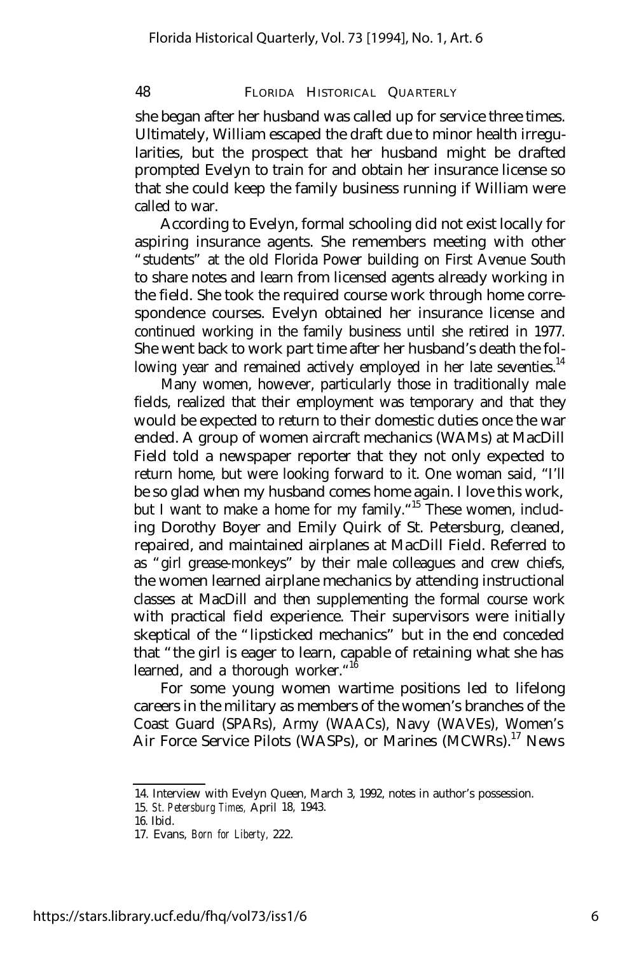she began after her husband was called up for service three times. Ultimately, William escaped the draft due to minor health irregularities, but the prospect that her husband might be drafted prompted Evelyn to train for and obtain her insurance license so that she could keep the family business running if William were called to war.

According to Evelyn, formal schooling did not exist locally for aspiring insurance agents. She remembers meeting with other "students" at the old Florida Power building on First Avenue South to share notes and learn from licensed agents already working in the field. She took the required course work through home correspondence courses. Evelyn obtained her insurance license and continued working in the family business until she retired in 1977. She went back to work part time after her husband's death the following year and remained actively employed in her late seventies.<sup>14</sup>

Many women, however, particularly those in traditionally male fields, realized that their employment was temporary and that they would be expected to return to their domestic duties once the war ended. A group of women aircraft mechanics (WAMs) at MacDill Field told a newspaper reporter that they not only expected to return home, but were looking forward to it. One woman said, "I'll be so glad when my husband comes home again. I love this work, but I want to make a home for my family. "<sup>15</sup> These women, including Dorothy Boyer and Emily Quirk of St. Petersburg, cleaned, repaired, and maintained airplanes at MacDill Field. Referred to as "girl grease-monkeys" by their male colleagues and crew chiefs, the women learned airplane mechanics by attending instructional classes at MacDill and then supplementing the formal course work with practical field experience. Their supervisors were initially skeptical of the "lipsticked mechanics" but in the end conceded that "the girl is eager to learn, capable of retaining what she has learned, and a thorough worker."<sup>16</sup>

For some young women wartime positions led to lifelong careers in the military as members of the women's branches of the Coast Guard (SPARs), Army (WAACs), Navy (WAVEs), Women's Air Force Service Pilots (WASPs), or Marines (MCWRs).<sup>17</sup> News

<sup>14.</sup> Interview with Evelyn Queen, March 3, 1992, notes in author's possession.

<sup>15.</sup> *St. Petersburg Times,* April 18, 1943.

<sup>16.</sup> Ibid.

<sup>17.</sup> Evans, *Born for Liberty,* 222.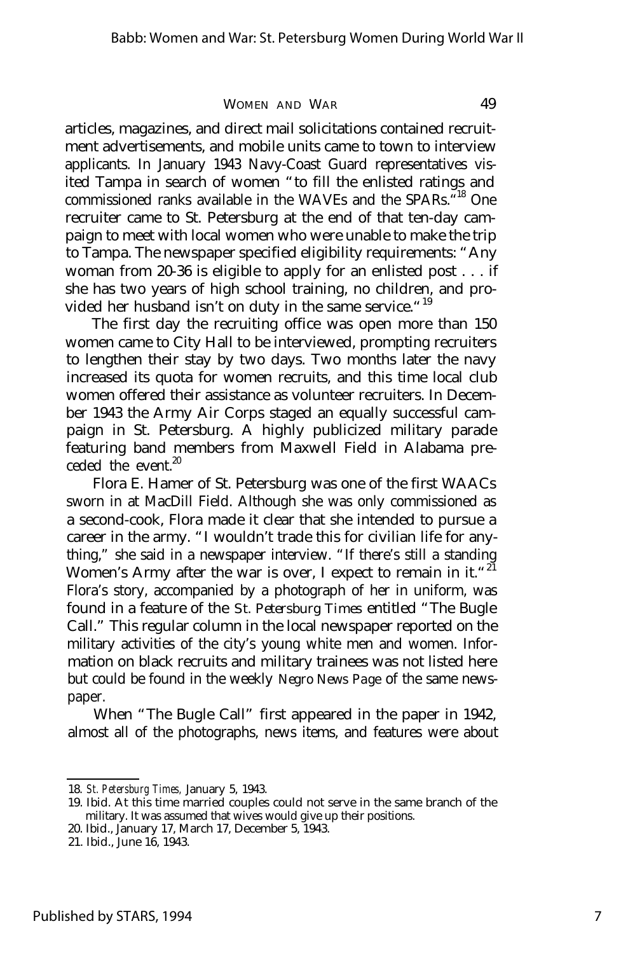articles, magazines, and direct mail solicitations contained recruitment advertisements, and mobile units came to town to interview applicants. In January 1943 Navy-Coast Guard representatives visited Tampa in search of women "to fill the enlisted ratings and commissioned ranks available in the WAVEs and the SPARs.<sup>"18</sup> One recruiter came to St. Petersburg at the end of that ten-day campaign to meet with local women who were unable to make the trip to Tampa. The newspaper specified eligibility requirements: "Any woman from 20-36 is eligible to apply for an enlisted post . . . if she has two years of high school training, no children, and provided her husband isn't on duty in the same service."<sup>19</sup>

The first day the recruiting office was open more than 150 women came to City Hall to be interviewed, prompting recruiters to lengthen their stay by two days. Two months later the navy increased its quota for women recruits, and this time local club women offered their assistance as volunteer recruiters. In December 1943 the Army Air Corps staged an equally successful campaign in St. Petersburg. A highly publicized military parade featuring band members from Maxwell Field in Alabama preceded the event.<sup>20</sup>

Flora E. Hamer of St. Petersburg was one of the first WAACs sworn in at MacDill Field. Although she was only commissioned as a second-cook, Flora made it clear that she intended to pursue a career in the army. "I wouldn't trade this for civilian life for anything," she said in a newspaper interview. "If there's still a standing Women's Army after the war is over, I expect to remain in it." $^{21}$ Flora's story, accompanied by a photograph of her in uniform, was found in a feature of the *St. Petersburg Times* entitled "The Bugle Call." This regular column in the local newspaper reported on the military activities of the city's young white men and women. Information on black recruits and military trainees was not listed here but could be found in the weekly *Negro News Page* of the same newspaper.

When "The Bugle Call" first appeared in the paper in 1942, almost all of the photographs, news items, and features were about

<sup>18.</sup> *St. Petersburg Times,* January 5, 1943.

<sup>19.</sup> Ibid. At this time married couples could not serve in the same branch of the military. It was assumed that wives would give up their positions.

<sup>20.</sup> Ibid., January 17, March 17, December 5, 1943.

<sup>21.</sup> Ibid., June 16, 1943.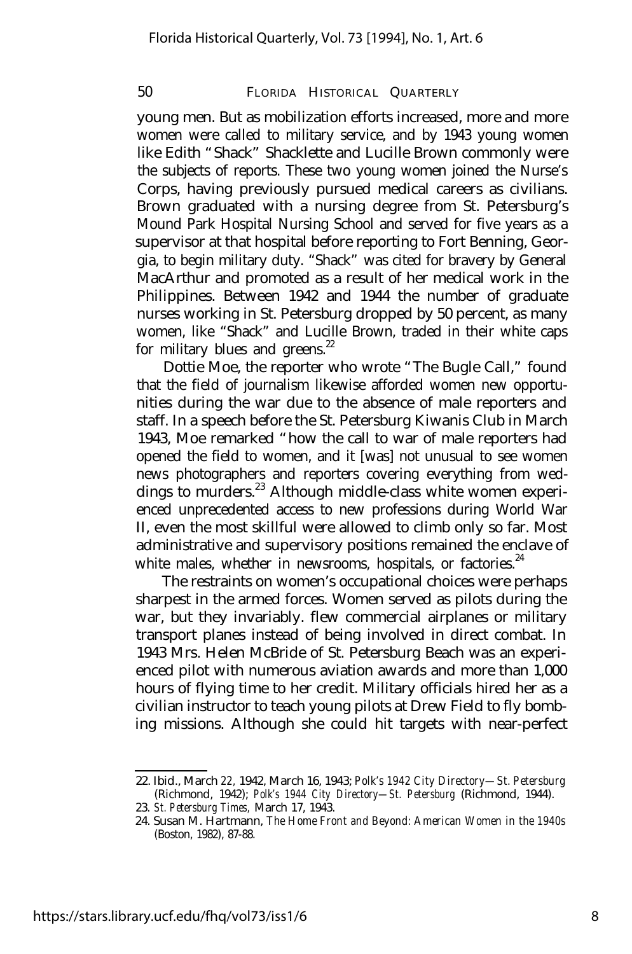young men. But as mobilization efforts increased, more and more women were called to military service, and by 1943 young women like Edith "Shack" Shacklette and Lucille Brown commonly were the subjects of reports. These two young women joined the Nurse's Corps, having previously pursued medical careers as civilians. Brown graduated with a nursing degree from St. Petersburg's Mound Park Hospital Nursing School and served for five years as a supervisor at that hospital before reporting to Fort Benning, Georgia, to begin military duty. "Shack" was cited for bravery by General MacArthur and promoted as a result of her medical work in the Philippines. Between 1942 and 1944 the number of graduate nurses working in St. Petersburg dropped by 50 percent, as many women, like "Shack" and Lucille Brown, traded in their white caps for military blues and greens. $22$ 

Dottie Moe, the reporter who wrote "The Bugle Call," found that the field of journalism likewise afforded women new opportunities during the war due to the absence of male reporters and staff. In a speech before the St. Petersburg Kiwanis Club in March 1943, Moe remarked "how the call to war of male reporters had opened the field to women, and it [was] not unusual to see women news photographers and reporters covering everything from weddings to murders.<sup>23</sup> Although middle-class white women experienced unprecedented access to new professions during World War II, even the most skillful were allowed to climb only so far. Most administrative and supervisory positions remained the enclave of white males, whether in newsrooms, hospitals, or factories. $24$ 

The restraints on women's occupational choices were perhaps sharpest in the armed forces. Women served as pilots during the war, but they invariably. flew commercial airplanes or military transport planes instead of being involved in direct combat. In 1943 Mrs. Helen McBride of St. Petersburg Beach was an experienced pilot with numerous aviation awards and more than 1,000 hours of flying time to her credit. Military officials hired her as a civilian instructor to teach young pilots at Drew Field to fly bombing missions. Although she could hit targets with near-perfect

<sup>22.</sup> Ibid., March *22,* 1942, March 16, 1943; *Polk's 1942 City Directory— St. Petersburg* (Richmond, 1942); *Polk's 1944 City Directory— St. Petersburg* (Richmond, 1944).

<sup>23.</sup> *St. Petersburg Times,* March 17, 1943.

<sup>24.</sup> Susan M. Hartmann, *The Home Front and Beyond: American Women in the 1940s* (Boston, 1982), 87-88.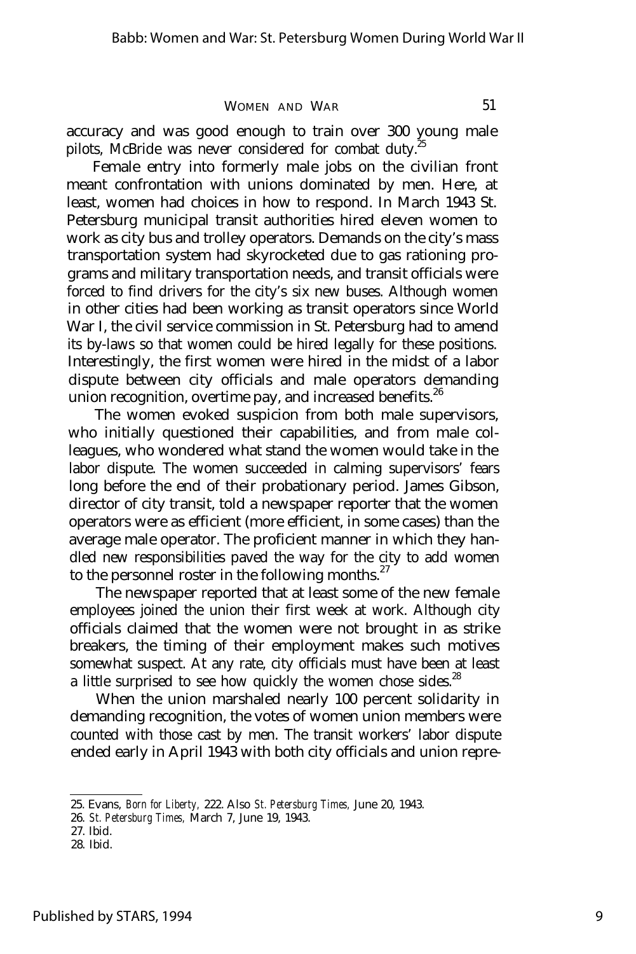accuracy and was good enough to train over 300 young male pilots, McBride was never considered for combat duty.<sup>25</sup>

Female entry into formerly male jobs on the civilian front meant confrontation with unions dominated by men. Here, at least, women had choices in how to respond. In March 1943 St. Petersburg municipal transit authorities hired eleven women to work as city bus and trolley operators. Demands on the city's mass transportation system had skyrocketed due to gas rationing programs and military transportation needs, and transit officials were forced to find drivers for the city's six new buses. Although women in other cities had been working as transit operators since World War I, the civil service commission in St. Petersburg had to amend its by-laws so that women could be hired legally for these positions. Interestingly, the first women were hired in the midst of a labor dispute between city officials and male operators demanding union recognition, overtime pay, and increased benefits.<sup>26</sup>

The women evoked suspicion from both male supervisors, who initially questioned their capabilities, and from male colleagues, who wondered what stand the women would take in the labor dispute. The women succeeded in calming supervisors' fears long before the end of their probationary period. James Gibson, director of city transit, told a newspaper reporter that the women operators were as efficient (more efficient, in some cases) than the average male operator. The proficient manner in which they handled new responsibilities paved the way for the city to add women to the personnel roster in the following months. $27$ 

The newspaper reported that at least some of the new female employees joined the union their first week at work. Although city officials claimed that the women were not brought in as strike breakers, the timing of their employment makes such motives somewhat suspect. At any rate, city officials must have been at least a little surprised to see how quickly the women chose sides.<sup>28</sup>

When the union marshaled nearly 100 percent solidarity in demanding recognition, the votes of women union members were counted with those cast by men. The transit workers' labor dispute ended early in April 1943 with both city officials and union repre-

<sup>25.</sup> Evans, *Born for Liberty,* 222. Also *St. Petersburg Times,* June 20, 1943.

<sup>26.</sup> *St. Petersburg Times,* March 7, June 19, 1943.

<sup>27.</sup> Ibid.

<sup>28.</sup> Ibid.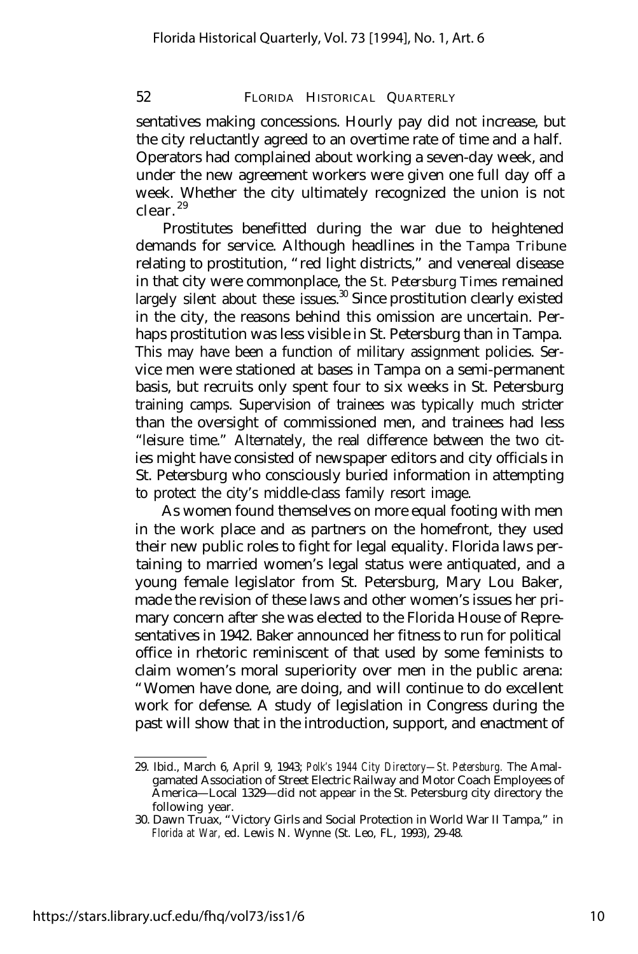sentatives making concessions. Hourly pay did not increase, but the city reluctantly agreed to an overtime rate of time and a half. Operators had complained about working a seven-day week, and under the new agreement workers were given one full day off a week. Whether the city ultimately recognized the union is not clear. <sup>29</sup>

Prostitutes benefitted during the war due to heightened demands for service. Although headlines in the *Tampa Tribune* relating to prostitution, "red light districts," and venereal disease in that city were commonplace, the *St. Petersburg Times* remained largely silent about these issues.<sup>30</sup> Since prostitution clearly existed in the city, the reasons behind this omission are uncertain. Perhaps prostitution was less visible in St. Petersburg than in Tampa. This may have been a function of military assignment policies. Service men were stationed at bases in Tampa on a semi-permanent basis, but recruits only spent four to six weeks in St. Petersburg training camps. Supervision of trainees was typically much stricter than the oversight of commissioned men, and trainees had less "leisure time." Alternately, the real difference between the two cities might have consisted of newspaper editors and city officials in St. Petersburg who consciously buried information in attempting to protect the city's middle-class family resort image.

As women found themselves on more equal footing with men in the work place and as partners on the homefront, they used their new public roles to fight for legal equality. Florida laws pertaining to married women's legal status were antiquated, and a young female legislator from St. Petersburg, Mary Lou Baker, made the revision of these laws and other women's issues her primary concern after she was elected to the Florida House of Representatives in 1942. Baker announced her fitness to run for political office in rhetoric reminiscent of that used by some feminists to claim women's moral superiority over men in the public arena: "Women have done, are doing, and will continue to do excellent work for defense. A study of legislation in Congress during the past will show that in the introduction, support, and enactment of

<sup>29.</sup> Ibid., March 6, April 9, 1943; *Polk's 1944 City Directory— St. Petersburg.* The Amalgamated Association of Street Electric Railway and Motor Coach Employees of America— Local 1329— did not appear in the St. Petersburg city directory the following year.

<sup>30.</sup> Dawn Truax, "Victory Girls and Social Protection in World War II Tampa," in *Florida at War,* ed. Lewis N. Wynne (St. Leo, FL, 1993), 29-48.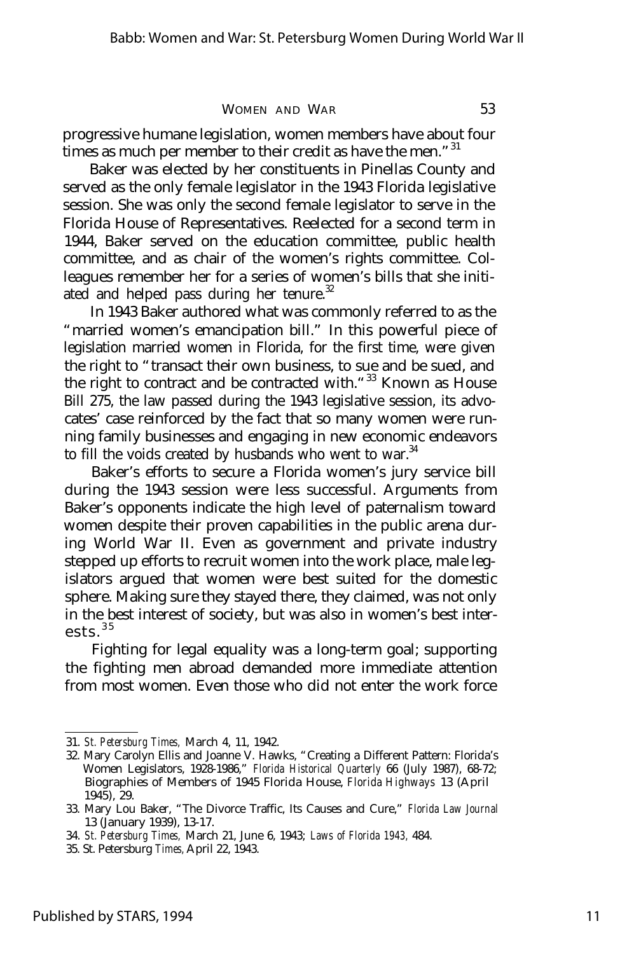progressive humane legislation, women members have about four times as much per member to their credit as have the men."<sup>31</sup>

Baker was elected by her constituents in Pinellas County and served as the only female legislator in the 1943 Florida legislative session. She was only the second female legislator to serve in the Florida House of Representatives. Reelected for a second term in 1944, Baker served on the education committee, public health committee, and as chair of the women's rights committee. Colleagues remember her for a series of women's bills that she initiated and helped pass during her tenure. $32$ 

In 1943 Baker authored what was commonly referred to as the "married women's emancipation bill." In this powerful piece of legislation married women in Florida, for the first time, were given the right to "transact their own business, to sue and be sued, and the right to contract and be contracted with.<sup>"33</sup> Known as House Bill 275, the law passed during the 1943 legislative session, its advocates' case reinforced by the fact that so many women were running family businesses and engaging in new economic endeavors to fill the voids created by husbands who went to war.<sup>34</sup>

Baker's efforts to secure a Florida women's jury service bill during the 1943 session were less successful. Arguments from Baker's opponents indicate the high level of paternalism toward women despite their proven capabilities in the public arena during World War II. Even as government and private industry stepped up efforts to recruit women into the work place, male legislators argued that women were best suited for the domestic sphere. Making sure they stayed there, they claimed, was not only in the best interest of society, but was also in women's best inter- $\mathrm{e}\,\mathrm{sts.}^{3\,5}$ 

Fighting for legal equality was a long-term goal; supporting the fighting men abroad demanded more immediate attention from most women. Even those who did not enter the work force

<sup>31.</sup> *St. Petersburg Times,* March 4, 11, 1942.

<sup>32.</sup> Mary Carolyn Ellis and Joanne V. Hawks, "Creating a Different Pattern: Florida's Women Legislators, 1928-1986," *Florida Historical Quarterly* 66 (July 1987), 68-72; Biographies of Members of 1945 Florida House, *Florida Highways* 13 (April 1945), 29.

<sup>33.</sup> Mary Lou Baker, "The Divorce Traffic, Its Causes and Cure," *Florida Law Journal* 13 (January 1939), 13-17.

<sup>34.</sup> *St. Petersburg Times,* March 21, June 6, 1943; *Laws of Florida 1943,* 484.

<sup>35.</sup> St. Petersburg *Times,* April 22, 1943.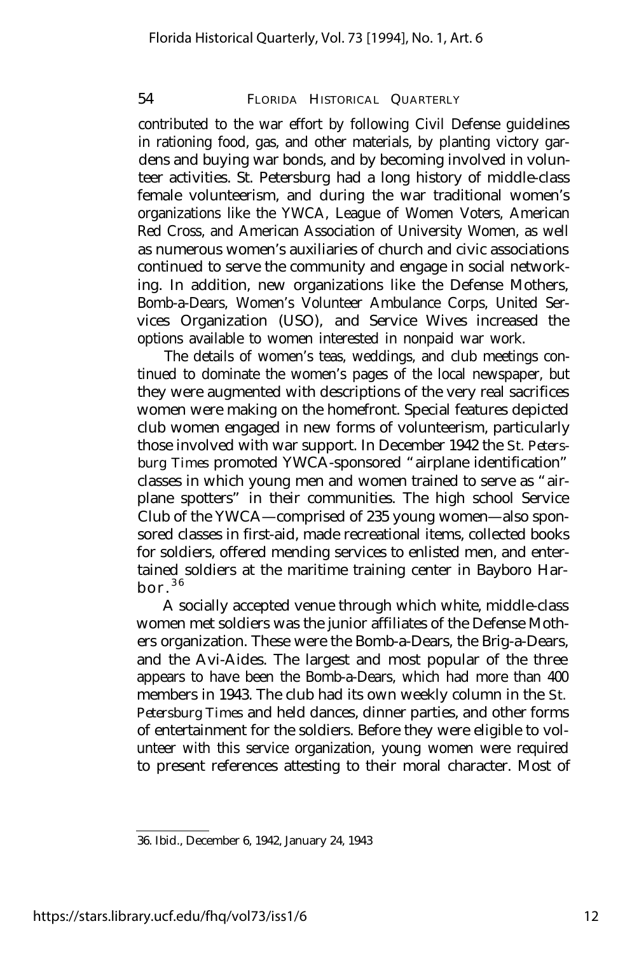contributed to the war effort by following Civil Defense guidelines in rationing food, gas, and other materials, by planting victory gardens and buying war bonds, and by becoming involved in volunteer activities. St. Petersburg had a long history of middle-class female volunteerism, and during the war traditional women's organizations like the YWCA, League of Women Voters, American Red Cross, and American Association of University Women, as well as numerous women's auxiliaries of church and civic associations continued to serve the community and engage in social networking. In addition, new organizations like the Defense Mothers, Bomb-a-Dears, Women's Volunteer Ambulance Corps, United Services Organization (USO), and Service Wives increased the options available to women interested in nonpaid war work.

The details of women's teas, weddings, and club meetings continued to dominate the women's pages of the local newspaper, but they were augmented with descriptions of the very real sacrifices women were making on the homefront. Special features depicted club women engaged in new forms of volunteerism, particularly those involved with war support. In December 1942 the *St. Petersburg Times* promoted YWCA-sponsored "airplane identification" classes in which young men and women trained to serve as "airplane spotters" in their communities. The high school Service Club of the YWCA— comprised of 235 young women— also sponsored classes in first-aid, made recreational items, collected books for soldiers, offered mending services to enlisted men, and entertained soldiers at the maritime training center in Bayboro Har- $\rm{bor.}^{36}$ 

A socially accepted venue through which white, middle-class women met soldiers was the junior affiliates of the Defense Mothers organization. These were the Bomb-a-Dears, the Brig-a-Dears, and the Avi-Aides. The largest and most popular of the three appears to have been the Bomb-a-Dears, which had more than 400 members in 1943. The club had its own weekly column in the *St. Petersburg Times* and held dances, dinner parties, and other forms of entertainment for the soldiers. Before they were eligible to volunteer with this service organization, young women were required to present references attesting to their moral character. Most of

<sup>36.</sup> Ibid., December 6, 1942, January 24, 1943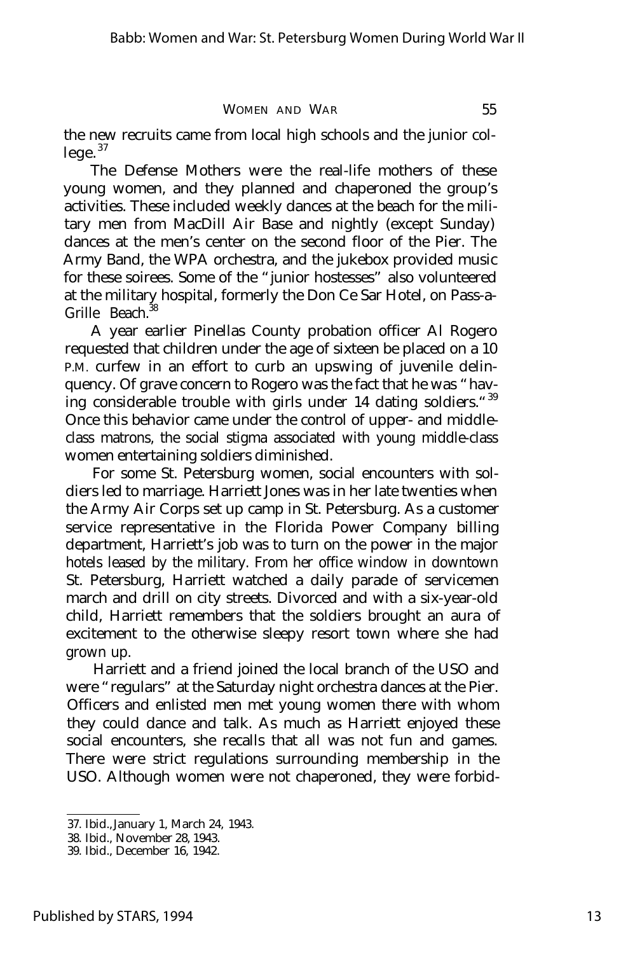the new recruits came from local high schools and the junior col $lege.<sup>37</sup>$ 

The Defense Mothers were the real-life mothers of these young women, and they planned and chaperoned the group's activities. These included weekly dances at the beach for the military men from MacDill Air Base and nightly (except Sunday) dances at the men's center on the second floor of the Pier. The Army Band, the WPA orchestra, and the jukebox provided music for these soirees. Some of the "junior hostesses" also volunteered at the military hospital, formerly the Don Ce Sar Hotel, on Pass-a-Grille Beach.

A year earlier Pinellas County probation officer Al Rogero requested that children under the age of sixteen be placed on a 10 P.M. curfew in an effort to curb an upswing of juvenile delinquency. Of grave concern to Rogero was the fact that he was "having considerable trouble with girls under 14 dating soldiers."<sup>39</sup> Once this behavior came under the control of upper- and middleclass matrons, the social stigma associated with young middle-class women entertaining soldiers diminished.

For some St. Petersburg women, social encounters with soldiers led to marriage. Harriett Jones was in her late twenties when the Army Air Corps set up camp in St. Petersburg. As a customer service representative in the Florida Power Company billing department, Harriett's job was to turn on the power in the major hotels leased by the military. From her office window in downtown St. Petersburg, Harriett watched a daily parade of servicemen march and drill on city streets. Divorced and with a six-year-old child, Harriett remembers that the soldiers brought an aura of excitement to the otherwise sleepy resort town where she had grown up.

Harriett and a friend joined the local branch of the USO and were "regulars" at the Saturday night orchestra dances at the Pier. Officers and enlisted men met young women there with whom they could dance and talk. As much as Harriett enjoyed these social encounters, she recalls that all was not fun and games. There were strict regulations surrounding membership in the USO. Although women were not chaperoned, they were forbid-

<sup>37.</sup> Ibid.,January 1, March 24, 1943.

<sup>38.</sup> Ibid., November 28, 1943.

<sup>39.</sup> Ibid., December 16, 1942.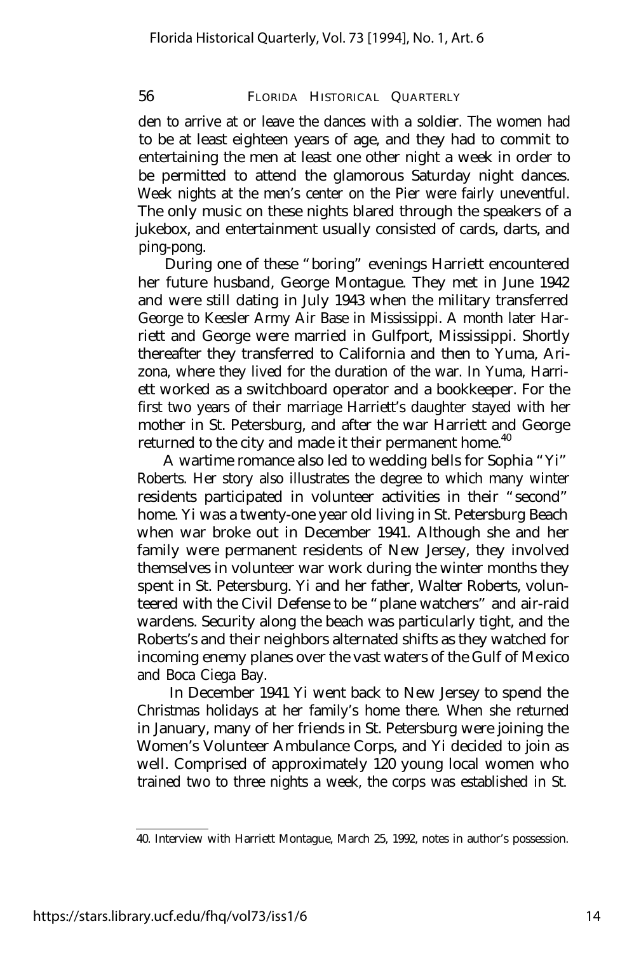den to arrive at or leave the dances with a soldier. The women had to be at least eighteen years of age, and they had to commit to entertaining the men at least one other night a week in order to be permitted to attend the glamorous Saturday night dances. Week nights at the men's center on the Pier were fairly uneventful. The only music on these nights blared through the speakers of a jukebox, and entertainment usually consisted of cards, darts, and ping-pong.

During one of these "boring" evenings Harriett encountered her future husband, George Montague. They met in June 1942 and were still dating in July 1943 when the military transferred George to Keesler Army Air Base in Mississippi. A month later Harriett and George were married in Gulfport, Mississippi. Shortly thereafter they transferred to California and then to Yuma, Arizona, where they lived for the duration of the war. In Yuma, Harriett worked as a switchboard operator and a bookkeeper. For the first two years of their marriage Harriett's daughter stayed with her mother in St. Petersburg, and after the war Harriett and George returned to the city and made it their permanent home.<sup>40</sup>

A wartime romance also led to wedding bells for Sophia "Yi" Roberts. Her story also illustrates the degree to which many winter residents participated in volunteer activities in their "second" home. Yi was a twenty-one year old living in St. Petersburg Beach when war broke out in December 1941. Although she and her family were permanent residents of New Jersey, they involved themselves in volunteer war work during the winter months they spent in St. Petersburg. Yi and her father, Walter Roberts, volunteered with the Civil Defense to be "plane watchers" and air-raid wardens. Security along the beach was particularly tight, and the Roberts's and their neighbors alternated shifts as they watched for incoming enemy planes over the vast waters of the Gulf of Mexico and Boca Ciega Bay.

In December 1941 Yi went back to New Jersey to spend the Christmas holidays at her family's home there. When she returned in January, many of her friends in St. Petersburg were joining the Women's Volunteer Ambulance Corps, and Yi decided to join as well. Comprised of approximately 120 young local women who trained two to three nights a week, the corps was established in St.

<sup>40.</sup> Interview with Harriett Montague, March 25, 1992, notes in author's possession.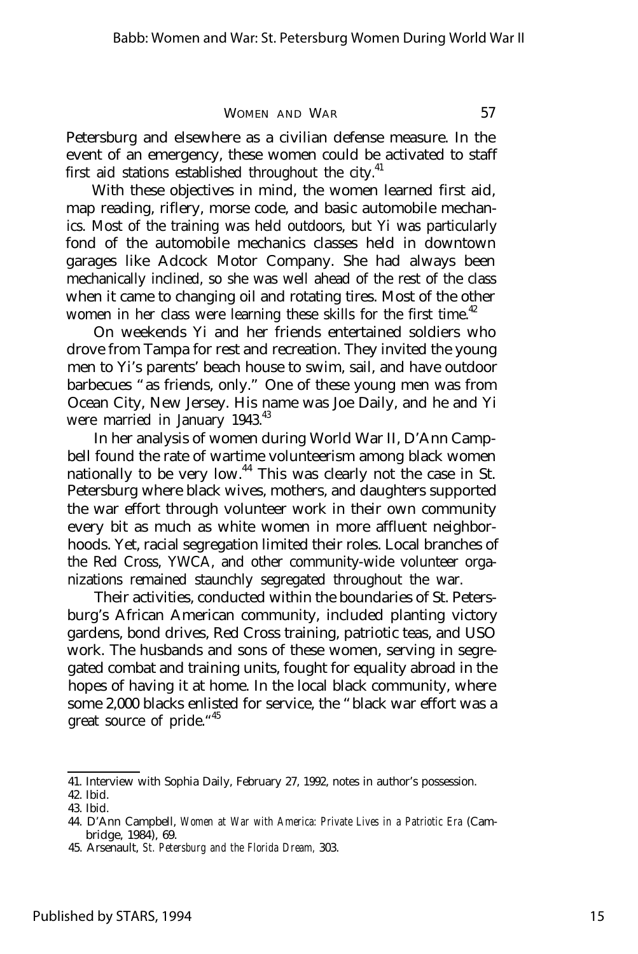Petersburg and elsewhere as a civilian defense measure. In the event of an emergency, these women could be activated to staff first aid stations established throughout the city.<sup>41</sup>

With these objectives in mind, the women learned first aid, map reading, riflery, morse code, and basic automobile mechanics. Most of the training was held outdoors, but Yi was particularly fond of the automobile mechanics classes held in downtown garages like Adcock Motor Company. She had always been mechanically inclined, so she was well ahead of the rest of the class when it came to changing oil and rotating tires. Most of the other women in her class were learning these skills for the first time.<sup>42</sup>

On weekends Yi and her friends entertained soldiers who drove from Tampa for rest and recreation. They invited the young men to Yi's parents' beach house to swim, sail, and have outdoor barbecues "as friends, only." One of these young men was from Ocean City, New Jersey. His name was Joe Daily, and he and Yi were married in January 1943.<sup>43</sup>

In her analysis of women during World War II, D'Ann Campbell found the rate of wartime volunteerism among black women nationally to be very low.<sup>44</sup> This was clearly not the case in St. Petersburg where black wives, mothers, and daughters supported the war effort through volunteer work in their own community every bit as much as white women in more affluent neighborhoods. Yet, racial segregation limited their roles. Local branches of the Red Cross, YWCA, and other community-wide volunteer organizations remained staunchly segregated throughout the war.

Their activities, conducted within the boundaries of St. Petersburg's African American community, included planting victory gardens, bond drives, Red Cross training, patriotic teas, and USO work. The husbands and sons of these women, serving in segregated combat and training units, fought for equality abroad in the hopes of having it at home. In the local black community, where some 2,000 blacks enlisted for service, the "black war effort was a great source of pride."<sup>45</sup>

<sup>41.</sup> Interview with Sophia Daily, February 27, 1992, notes in author's possession.

<sup>42.</sup> Ibid.

<sup>43.</sup> Ibid.

<sup>44.</sup> D'Ann Campbell, *Women at War with America: Private Lives in a Patriotic Era* (Cambridge, 1984), 69.

<sup>45.</sup> Arsenault, *St. Petersburg and the Florida Dream,* 303.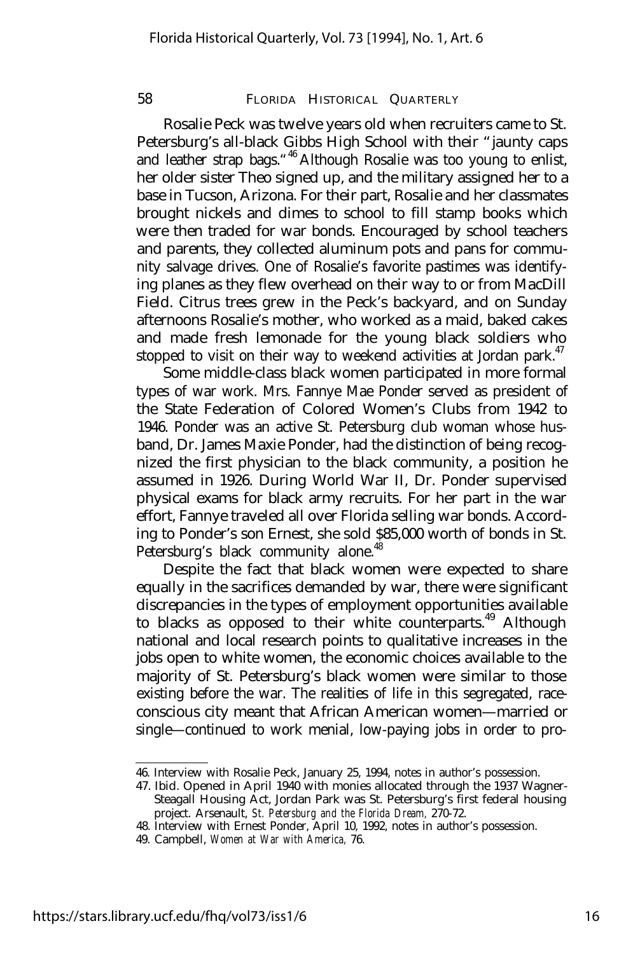Rosalie Peck was twelve years old when recruiters came to St. Petersburg's all-black Gibbs High School with their "jaunty caps and leather strap bags."<sup>46</sup> Although Rosalie was too young to enlist, her older sister Theo signed up, and the military assigned her to a base in Tucson, Arizona. For their part, Rosalie and her classmates brought nickels and dimes to school to fill stamp books which were then traded for war bonds. Encouraged by school teachers and parents, they collected aluminum pots and pans for community salvage drives. One of Rosalie's favorite pastimes was identifying planes as they flew overhead on their way to or from MacDill Field. Citrus trees grew in the Peck's backyard, and on Sunday afternoons Rosalie's mother, who worked as a maid, baked cakes and made fresh lemonade for the young black soldiers who stopped to visit on their way to weekend activities at Jordan park.<sup>47</sup>

Some middle-class black women participated in more formal types of war work. Mrs. Fannye Mae Ponder served as president of the State Federation of Colored Women's Clubs from 1942 to 1946. Ponder was an active St. Petersburg club woman whose husband, Dr. James Maxie Ponder, had the distinction of being recognized the first physician to the black community, a position he assumed in 1926. During World War II, Dr. Ponder supervised physical exams for black army recruits. For her part in the war effort, Fannye traveled all over Florida selling war bonds. According to Ponder's son Ernest, she sold \$85,000 worth of bonds in St. Petersburg's black community alone.<sup>48</sup>

Despite the fact that black women were expected to share equally in the sacrifices demanded by war, there were significant discrepancies in the types of employment opportunities available to blacks as opposed to their white counterparts.<sup>49</sup> Although national and local research points to qualitative increases in the jobs open to white women, the economic choices available to the majority of St. Petersburg's black women were similar to those existing before the war. The realities of life in this segregated, raceconscious city meant that African American women— married or single— continued to work menial, low-paying jobs in order to pro-

<sup>46.</sup> Interview with Rosalie Peck, January 25, 1994, notes in author's possession.

<sup>47.</sup> Ibid. Opened in April 1940 with monies allocated through the 1937 Wagner-Steagall Housing Act, Jordan Park was St. Petersburg's first federal housing project. Arsenault, *St. Petersburg and the Florida Dream,* 270-72.

<sup>48.</sup> Interview with Ernest Ponder, April 10, 1992, notes in author's possession.

<sup>49.</sup> Campbell, *Women at War with America,* 76.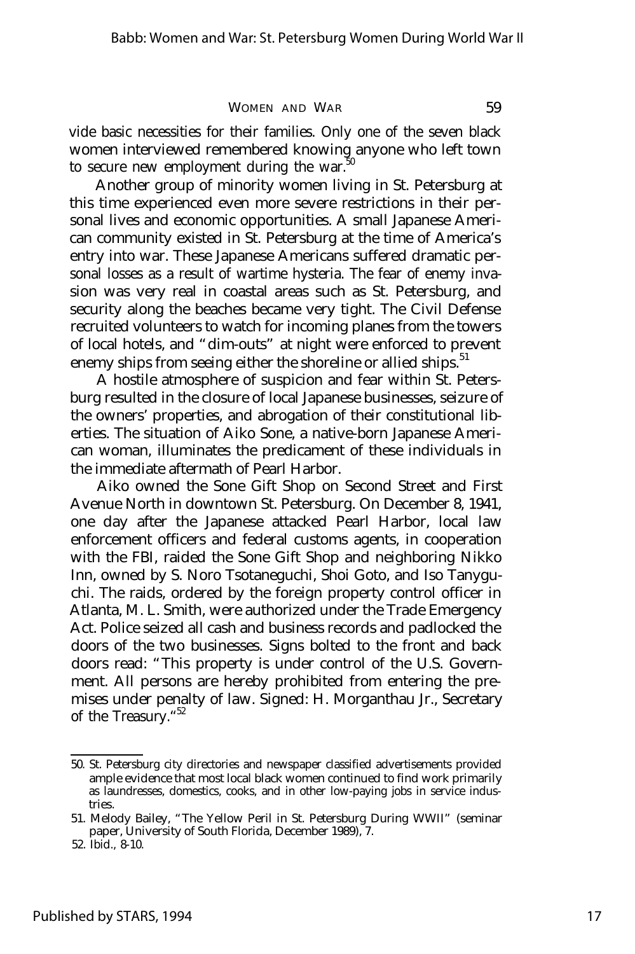vide basic necessities for their families. Only one of the seven black women interviewed remembered knowing anyone who left town to secure new employment during the war. $\bar{5}$ 

Another group of minority women living in St. Petersburg at this time experienced even more severe restrictions in their personal lives and economic opportunities. A small Japanese American community existed in St. Petersburg at the time of America's entry into war. These Japanese Americans suffered dramatic personal losses as a result of wartime hysteria. The fear of enemy invasion was very real in coastal areas such as St. Petersburg, and security along the beaches became very tight. The Civil Defense recruited volunteers to watch for incoming planes from the towers of local hotels, and "dim-outs" at night were enforced to prevent enemy ships from seeing either the shoreline or allied ships.  $51$ 

A hostile atmosphere of suspicion and fear within St. Petersburg resulted in the closure of local Japanese businesses, seizure of the owners' properties, and abrogation of their constitutional liberties. The situation of Aiko Sone, a native-born Japanese American woman, illuminates the predicament of these individuals in the immediate aftermath of Pearl Harbor.

Aiko owned the Sone Gift Shop on Second Street and First Avenue North in downtown St. Petersburg. On December 8, 1941, one day after the Japanese attacked Pearl Harbor, local law enforcement officers and federal customs agents, in cooperation with the FBI, raided the Sone Gift Shop and neighboring Nikko Inn, owned by S. Noro Tsotaneguchi, Shoi Goto, and Iso Tanyguchi. The raids, ordered by the foreign property control officer in Atlanta, M. L. Smith, were authorized under the Trade Emergency Act. Police seized all cash and business records and padlocked the doors of the two businesses. Signs bolted to the front and back doors read: "This property is under control of the U.S. Government. All persons are hereby prohibited from entering the premises under penalty of law. Signed: H. Morganthau Jr., Secretary of the Treasury. "52

<sup>50.</sup> St. Petersburg city directories and newspaper classified advertisements provided ample evidence that most local black women continued to find work primarily as laundresses, domestics, cooks, and in other low-paying jobs in service industries.

<sup>51.</sup> Melody Bailey, "The Yellow Peril in St. Petersburg During WWII" (seminar paper, University of South Florida, December 1989), 7.

<sup>52.</sup> Ibid., 8-10.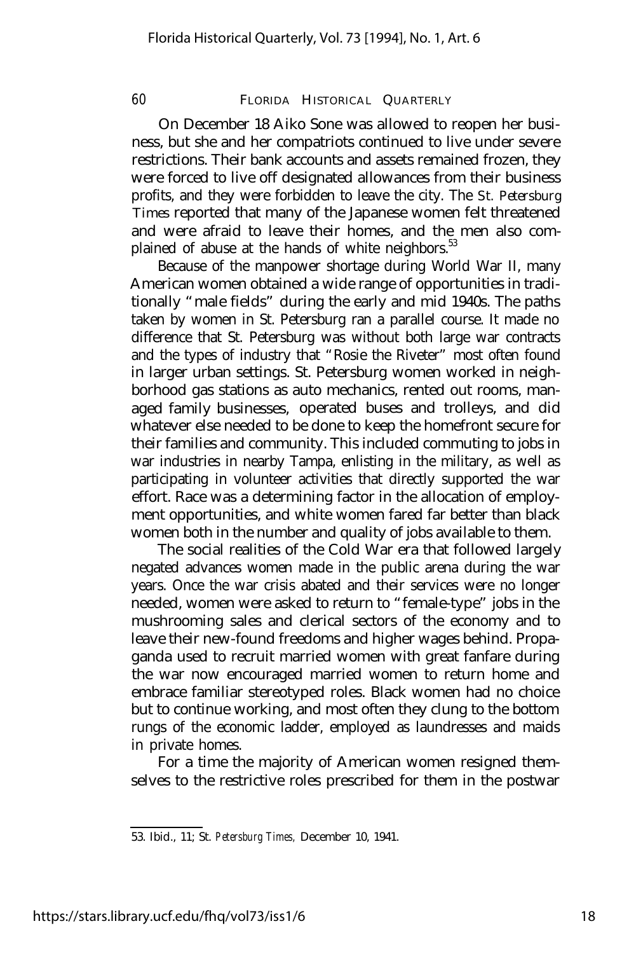On December 18 Aiko Sone was allowed to reopen her business, but she and her compatriots continued to live under severe restrictions. Their bank accounts and assets remained frozen, they were forced to live off designated allowances from their business profits, and they were forbidden to leave the city. The *St. Petersburg Times* reported that many of the Japanese women felt threatened and were afraid to leave their homes, and the men also complained of abuse at the hands of white neighbors.<sup>33</sup>

Because of the manpower shortage during World War II, many American women obtained a wide range of opportunities in traditionally "male fields" during the early and mid 1940s. The paths taken by women in St. Petersburg ran a parallel course. It made no difference that St. Petersburg was without both large war contracts and the types of industry that "Rosie the Riveter" most often found in larger urban settings. St. Petersburg women worked in neighborhood gas stations as auto mechanics, rented out rooms, managed family businesses, operated buses and trolleys, and did whatever else needed to be done to keep the homefront secure for their families and community. This included commuting to jobs in war industries in nearby Tampa, enlisting in the military, as well as participating in volunteer activities that directly supported the war effort. Race was a determining factor in the allocation of employment opportunities, and white women fared far better than black women both in the number and quality of jobs available to them.

The social realities of the Cold War era that followed largely negated advances women made in the public arena during the war years. Once the war crisis abated and their services were no longer needed, women were asked to return to "female-type" jobs in the mushrooming sales and clerical sectors of the economy and to leave their new-found freedoms and higher wages behind. Propaganda used to recruit married women with great fanfare during the war now encouraged married women to return home and embrace familiar stereotyped roles. Black women had no choice but to continue working, and most often they clung to the bottom rungs of the economic ladder, employed as laundresses and maids in private homes.

For a time the majority of American women resigned themselves to the restrictive roles prescribed for them in the postwar

<sup>53.</sup> Ibid., 11; St. *Petersburg Times,* December 10, 1941.